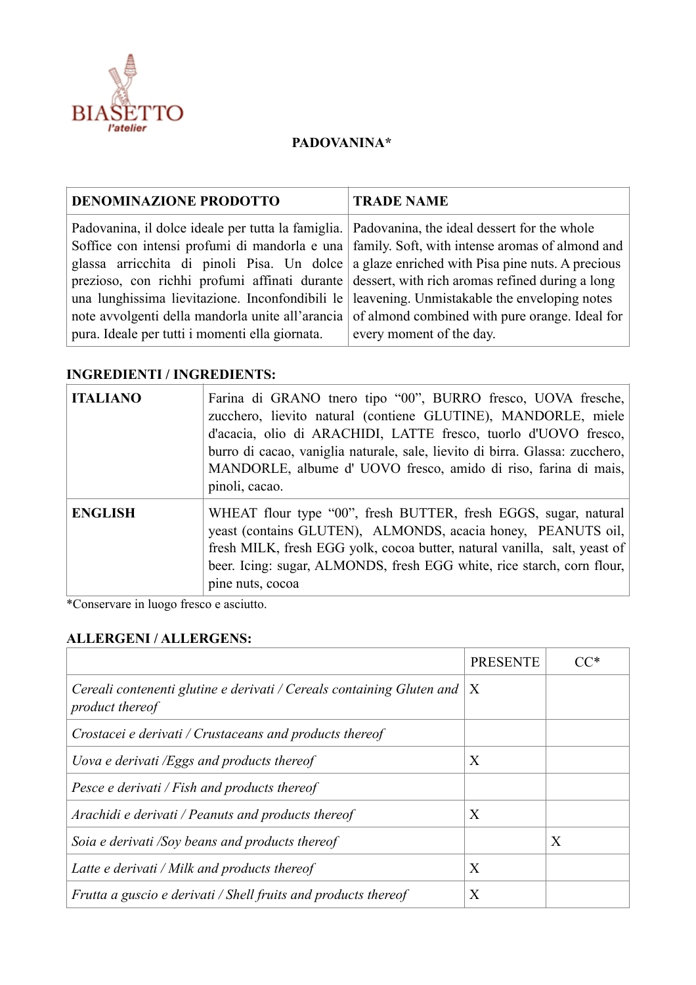

## **PADOVANINA\***

| Padovanina, il dolce ideale per tutta la famiglia. Padovanina, the ideal dessert for the whole                                                                                                                                                                                                                                                                                                                                                                                                                                                                                  |  |
|---------------------------------------------------------------------------------------------------------------------------------------------------------------------------------------------------------------------------------------------------------------------------------------------------------------------------------------------------------------------------------------------------------------------------------------------------------------------------------------------------------------------------------------------------------------------------------|--|
| Soffice con intensi profumi di mandorla e una family. Soft, with intense aromas of almond and<br>glassa arricchita di pinoli Pisa. Un dolce a glaze enriched with Pisa pine nuts. A precious<br>prezioso, con richhi profumi affinati durante dessert, with rich aromas refined during a long<br>una lunghissima lievitazione. Inconfondibili le leavening. Unmistakable the enveloping notes<br>note avvolgenti della mandorla unite all'arancia of almond combined with pure orange. Ideal for<br>pura. Ideale per tutti i momenti ella giornata.<br>every moment of the day. |  |

## **INGREDIENTI / INGREDIENTS:**

| <b>ITALIANO</b> | Farina di GRANO tnero tipo "00", BURRO fresco, UOVA fresche,<br>zucchero, lievito natural (contiene GLUTINE), MANDORLE, miele<br>d'acacia, olio di ARACHIDI, LATTE fresco, tuorlo d'UOVO fresco,<br>burro di cacao, vaniglia naturale, sale, lievito di birra. Glassa: zucchero,<br>MANDORLE, albume d' UOVO fresco, amido di riso, farina di mais,<br>pinoli, cacao. |
|-----------------|-----------------------------------------------------------------------------------------------------------------------------------------------------------------------------------------------------------------------------------------------------------------------------------------------------------------------------------------------------------------------|
| <b>ENGLISH</b>  | WHEAT flour type "00", fresh BUTTER, fresh EGGS, sugar, natural<br>yeast (contains GLUTEN), ALMONDS, acacia honey, PEANUTS oil,<br>fresh MILK, fresh EGG yolk, cocoa butter, natural vanilla, salt, yeast of<br>beer. Icing: sugar, ALMONDS, fresh EGG white, rice starch, corn flour,<br>pine nuts, cocoa                                                            |

\*Conservare in luogo fresco e asciutto.

## **ALLERGENI / ALLERGENS:**

|                                                                                          | <b>PRESENTE</b> |   |
|------------------------------------------------------------------------------------------|-----------------|---|
| Cereali contenenti glutine e derivati / Cereals containing Gluten and<br>product thereof | X               |   |
| Crostacei e derivati / Crustaceans and products thereof                                  |                 |   |
| Uova e derivati /Eggs and products thereof                                               | Χ               |   |
| Pesce e derivati / Fish and products thereof                                             |                 |   |
| Arachidi e derivati / Peanuts and products thereof                                       | X               |   |
| Soia e derivati /Soy beans and products thereof                                          |                 | X |
| Latte e derivati / Milk and products thereof                                             | X               |   |
| Frutta a guscio e derivati / Shell fruits and products thereof                           | X               |   |